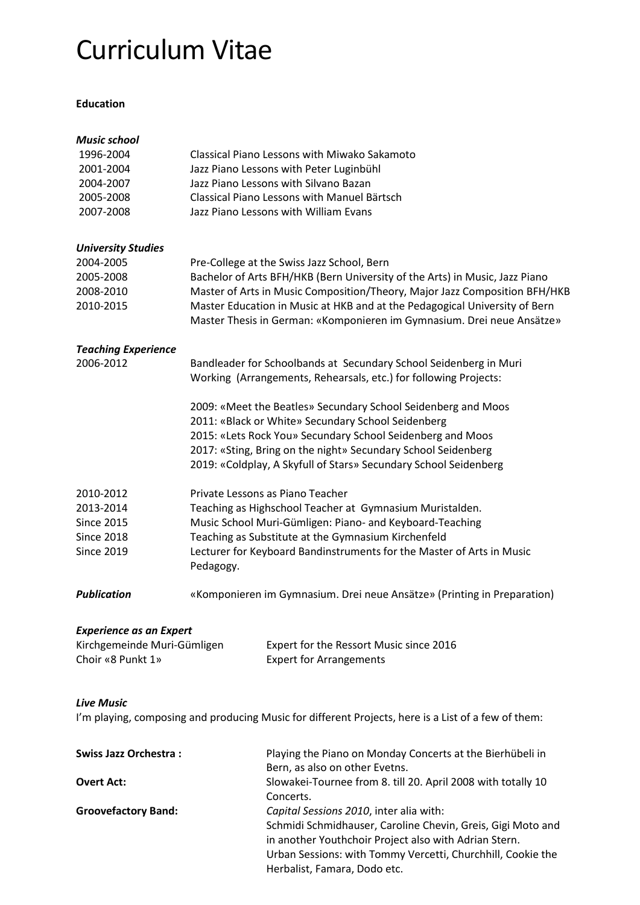# Curriculum Vitae

## **Education**

| Music school                   |                                                                                                                                       |                                                                                                                                                      |  |
|--------------------------------|---------------------------------------------------------------------------------------------------------------------------------------|------------------------------------------------------------------------------------------------------------------------------------------------------|--|
| 1996-2004                      |                                                                                                                                       | Classical Piano Lessons with Miwako Sakamoto                                                                                                         |  |
| 2001-2004                      |                                                                                                                                       | Jazz Piano Lessons with Peter Luginbühl                                                                                                              |  |
| 2004-2007                      |                                                                                                                                       | Jazz Piano Lessons with Silvano Bazan                                                                                                                |  |
| 2005-2008                      |                                                                                                                                       | Classical Piano Lessons with Manuel Bärtsch                                                                                                          |  |
| 2007-2008                      |                                                                                                                                       | Jazz Piano Lessons with William Evans                                                                                                                |  |
| <b>University Studies</b>      |                                                                                                                                       |                                                                                                                                                      |  |
| 2004-2005                      |                                                                                                                                       | Pre-College at the Swiss Jazz School, Bern                                                                                                           |  |
| 2005-2008                      | Bachelor of Arts BFH/HKB (Bern University of the Arts) in Music, Jazz Piano                                                           |                                                                                                                                                      |  |
| 2008-2010                      |                                                                                                                                       | Master of Arts in Music Composition/Theory, Major Jazz Composition BFH/HKB                                                                           |  |
| 2010-2015                      |                                                                                                                                       | Master Education in Music at HKB and at the Pedagogical University of Bern<br>Master Thesis in German: «Komponieren im Gymnasium. Drei neue Ansätze» |  |
| <b>Teaching Experience</b>     |                                                                                                                                       |                                                                                                                                                      |  |
| 2006-2012                      | Bandleader for Schoolbands at Secundary School Seidenberg in Muri<br>Working (Arrangements, Rehearsals, etc.) for following Projects: |                                                                                                                                                      |  |
|                                |                                                                                                                                       | 2009: «Meet the Beatles» Secundary School Seidenberg and Moos                                                                                        |  |
|                                |                                                                                                                                       | 2011: «Black or White» Secundary School Seidenberg                                                                                                   |  |
|                                |                                                                                                                                       | 2015: «Lets Rock You» Secundary School Seidenberg and Moos                                                                                           |  |
|                                | 2017: «Sting, Bring on the night» Secundary School Seidenberg                                                                         |                                                                                                                                                      |  |
|                                |                                                                                                                                       | 2019: «Coldplay, A Skyfull of Stars» Secundary School Seidenberg                                                                                     |  |
| 2010-2012                      |                                                                                                                                       | Private Lessons as Piano Teacher                                                                                                                     |  |
| 2013-2014                      | Teaching as Highschool Teacher at Gymnasium Muristalden.                                                                              |                                                                                                                                                      |  |
| <b>Since 2015</b>              | Music School Muri-Gümligen: Piano- and Keyboard-Teaching                                                                              |                                                                                                                                                      |  |
| <b>Since 2018</b>              | Teaching as Substitute at the Gymnasium Kirchenfeld                                                                                   |                                                                                                                                                      |  |
| <b>Since 2019</b>              | Lecturer for Keyboard Bandinstruments for the Master of Arts in Music<br>Pedagogy.                                                    |                                                                                                                                                      |  |
| Publication                    | «Komponieren im Gymnasium. Drei neue Ansätze» (Printing in Preparation)                                                               |                                                                                                                                                      |  |
| <b>Experience as an Expert</b> |                                                                                                                                       |                                                                                                                                                      |  |
| Kirchgemeinde Muri-Gümligen    |                                                                                                                                       | Expert for the Ressort Music since 2016                                                                                                              |  |
| Choir «8 Punkt 1»              |                                                                                                                                       | <b>Expert for Arrangements</b>                                                                                                                       |  |
| <b>Live Music</b>              |                                                                                                                                       |                                                                                                                                                      |  |
|                                |                                                                                                                                       | I'm playing, composing and producing Music for different Projects, here is a List of a few of them:                                                  |  |
| <b>Swiss Jazz Orchestra:</b>   |                                                                                                                                       | Playing the Piano on Monday Concerts at the Bierhübeli in                                                                                            |  |

| 3 JULIUS JAZZ UTLIJE SLIJA . | Playing the Plano on Monday Concerts at the Biernupeli in    |
|------------------------------|--------------------------------------------------------------|
|                              | Bern, as also on other Evetns.                               |
| <b>Overt Act:</b>            | Slowakei-Tournee from 8. till 20. April 2008 with totally 10 |
|                              | Concerts.                                                    |
| <b>Groovefactory Band:</b>   | Capital Sessions 2010, inter alia with:                      |
|                              | Schmidi Schmidhauser, Caroline Chevin, Greis, Gigi Moto and  |
|                              | in another Youthchoir Project also with Adrian Stern.        |
|                              | Urban Sessions: with Tommy Vercetti, Churchhill, Cookie the  |
|                              | Herbalist, Famara, Dodo etc.                                 |
|                              |                                                              |